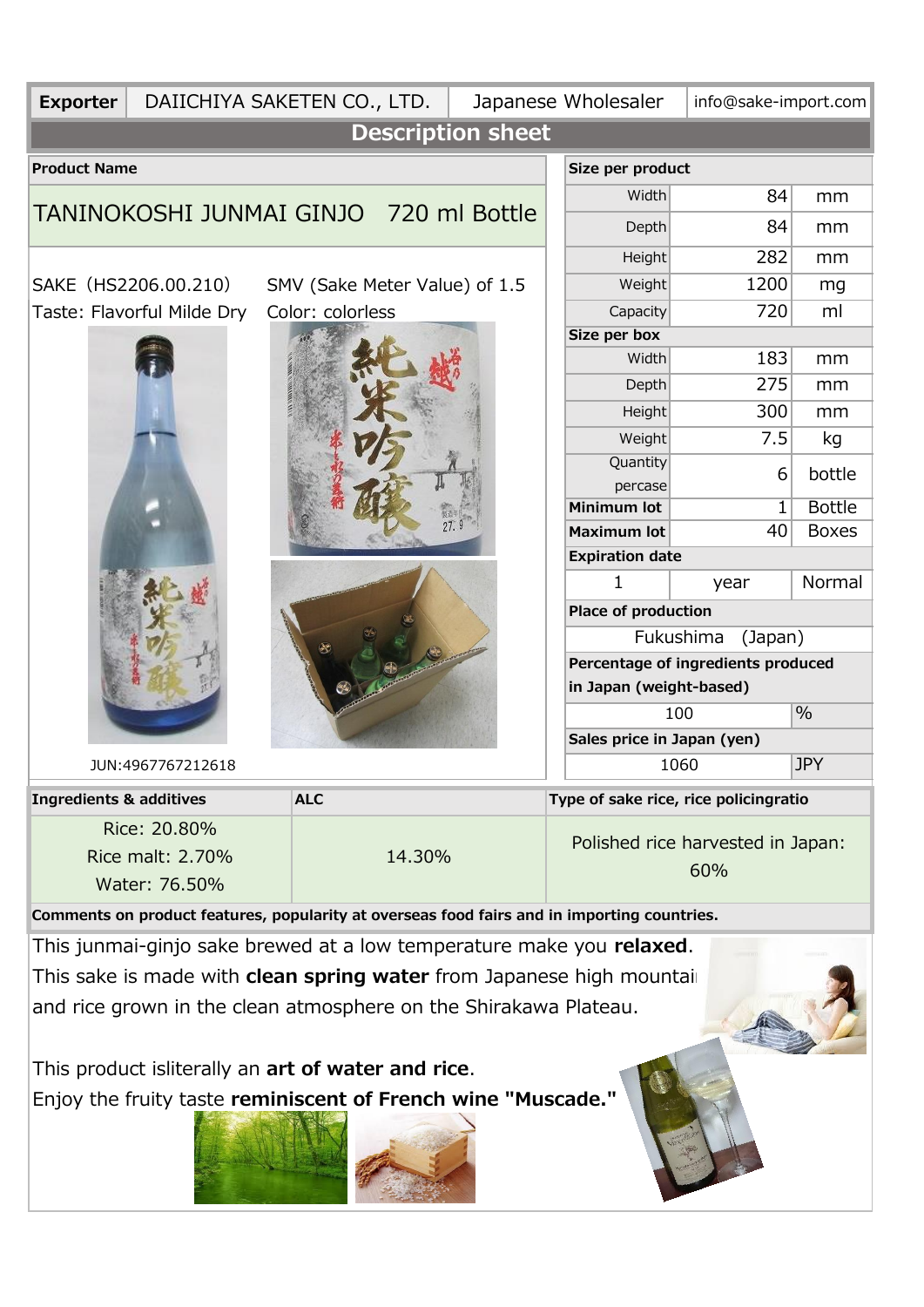| <b>Exporter</b>                                                                                         | DAIICHIYA SAKETEN CO., LTD.                                                                 |            |        |                                    |                            | Japanese Wholesaler                      | info@sake-import.com |        |  |
|---------------------------------------------------------------------------------------------------------|---------------------------------------------------------------------------------------------|------------|--------|------------------------------------|----------------------------|------------------------------------------|----------------------|--------|--|
|                                                                                                         |                                                                                             |            |        | <b>Description sheet</b>           |                            |                                          |                      |        |  |
| <b>Product Name</b>                                                                                     |                                                                                             |            |        |                                    |                            | Size per product                         |                      |        |  |
| TANINOKOSHI JUNMAI GINJO 720 ml Bottle                                                                  |                                                                                             |            |        |                                    |                            | Width                                    | 84                   | mm     |  |
|                                                                                                         |                                                                                             |            |        |                                    |                            | <b>Depth</b>                             | 84                   | mm     |  |
|                                                                                                         |                                                                                             |            |        |                                    |                            | Height                                   | 282                  | mm     |  |
| SAKE (HS2206.00.210)<br>SMV (Sake Meter Value) of 1.5<br>Taste: Flavorful Milde Dry<br>Color: colorless |                                                                                             |            |        |                                    |                            | Weight                                   | 1200                 | mg     |  |
|                                                                                                         |                                                                                             |            |        |                                    |                            | Capacity                                 | 720                  | ml     |  |
|                                                                                                         |                                                                                             |            |        |                                    |                            | Size per box                             |                      |        |  |
|                                                                                                         |                                                                                             |            |        |                                    |                            | Width                                    | 183                  | mm     |  |
|                                                                                                         |                                                                                             |            |        |                                    |                            | <b>Depth</b>                             | 275                  | mm     |  |
|                                                                                                         |                                                                                             |            |        |                                    |                            | Height                                   | 300                  | mm     |  |
|                                                                                                         |                                                                                             |            |        |                                    |                            | Weight                                   | 7.5                  | kg     |  |
|                                                                                                         |                                                                                             |            |        |                                    |                            | Quantity                                 | 6                    | bottle |  |
|                                                                                                         |                                                                                             |            |        |                                    | percase                    |                                          |                      |        |  |
|                                                                                                         |                                                                                             |            |        |                                    | <b>Minimum lot</b>         | 1                                        | <b>Bottle</b>        |        |  |
|                                                                                                         |                                                                                             |            |        |                                    | <b>Maximum lot</b>         | 40                                       | <b>Boxes</b>         |        |  |
|                                                                                                         |                                                                                             |            |        |                                    | <b>Expiration date</b>     |                                          |                      |        |  |
|                                                                                                         |                                                                                             |            |        |                                    | 1                          | year                                     | Normal               |        |  |
|                                                                                                         |                                                                                             |            |        |                                    | <b>Place of production</b> |                                          |                      |        |  |
|                                                                                                         |                                                                                             |            |        | Fukushima<br>(Japan)               |                            |                                          |                      |        |  |
|                                                                                                         |                                                                                             |            |        | Percentage of ingredients produced |                            |                                          |                      |        |  |
|                                                                                                         |                                                                                             |            |        |                                    |                            | in Japan (weight-based)                  |                      |        |  |
|                                                                                                         |                                                                                             |            |        |                                    |                            |                                          | 100                  | $\%$   |  |
|                                                                                                         |                                                                                             |            |        |                                    |                            | Sales price in Japan (yen)               |                      |        |  |
| JUN:4967767212618                                                                                       |                                                                                             |            |        |                                    |                            | <b>JPY</b><br>1060                       |                      |        |  |
| <b>Ingredients &amp; additives</b>                                                                      |                                                                                             | <b>ALC</b> |        |                                    |                            | Type of sake rice, rice policingratio    |                      |        |  |
|                                                                                                         | Rice: 20.80%<br>Rice malt: 2.70%<br>Water: 76.50%                                           |            | 14.30% |                                    |                            | Polished rice harvested in Japan:<br>60% |                      |        |  |
|                                                                                                         | Comments on product features, popularity at overseas food fairs and in importing countries. |            |        |                                    |                            |                                          |                      |        |  |
|                                                                                                         | This junmai-ginjo sake brewed at a low temperature make you relaxed.                        |            |        |                                    |                            |                                          |                      |        |  |
|                                                                                                         |                                                                                             |            |        |                                    |                            |                                          |                      |        |  |
|                                                                                                         | This sake is made with clean spring water from Japanese high mountail                       |            |        |                                    |                            |                                          |                      |        |  |
|                                                                                                         | and rice grown in the clean atmosphere on the Shirakawa Plateau.                            |            |        |                                    |                            |                                          |                      |        |  |
|                                                                                                         |                                                                                             |            |        |                                    |                            |                                          |                      |        |  |
|                                                                                                         | This product isliterally an art of water and rice.                                          |            |        |                                    |                            |                                          |                      |        |  |
|                                                                                                         | Enjoy the fruity taste reminiscent of French wine "Muscade."                                |            |        |                                    |                            |                                          |                      |        |  |
|                                                                                                         |                                                                                             |            |        |                                    |                            |                                          |                      |        |  |
|                                                                                                         |                                                                                             |            |        |                                    |                            |                                          |                      |        |  |